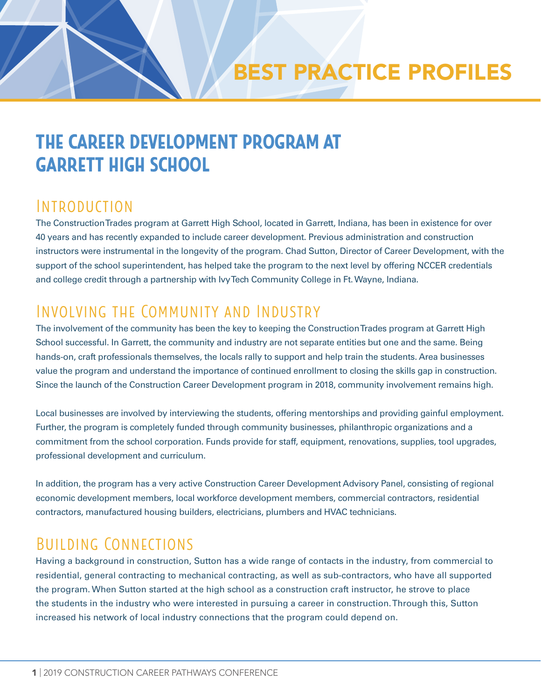## THE CAREER DEVELOPMENT PROGRAM AT GARRETT HIGH SCHOOL

#### Introduction

The Construction Trades program at Garrett High School, located in Garrett, Indiana, has been in existence for over 40 years and has recently expanded to include career development. Previous administration and construction instructors were instrumental in the longevity of the program. Chad Sutton, Director of Career Development, with the support of the school superintendent, has helped take the program to the next level by offering NCCER credentials and college credit through a partnership with Ivy Tech Community College in Ft. Wayne, Indiana.

## Involving the Community and Industry

The involvement of the community has been the key to keeping the Construction Trades program at Garrett High School successful. In Garrett, the community and industry are not separate entities but one and the same. Being hands-on, craft professionals themselves, the locals rally to support and help train the students. Area businesses value the program and understand the importance of continued enrollment to closing the skills gap in construction. Since the launch of the Construction Career Development program in 2018, community involvement remains high.

Local businesses are involved by interviewing the students, offering mentorships and providing gainful employment. Further, the program is completely funded through community businesses, philanthropic organizations and a commitment from the school corporation. Funds provide for staff, equipment, renovations, supplies, tool upgrades, professional development and curriculum.

In addition, the program has a very active Construction Career Development Advisory Panel, consisting of regional economic development members, local workforce development members, commercial contractors, residential contractors, manufactured housing builders, electricians, plumbers and HVAC technicians.

## Building Connections

Having a background in construction, Sutton has a wide range of contacts in the industry, from commercial to residential, general contracting to mechanical contracting, as well as sub-contractors, who have all supported the program. When Sutton started at the high school as a construction craft instructor, he strove to place the students in the industry who were interested in pursuing a career in construction. Through this, Sutton increased his network of local industry connections that the program could depend on.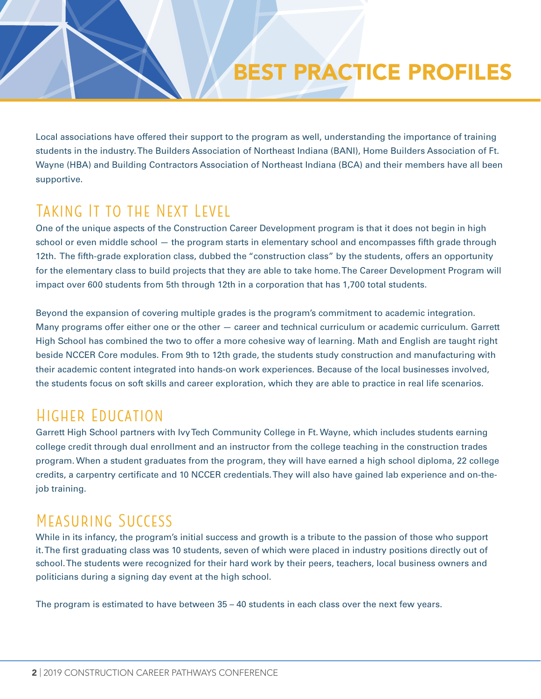## BEST PRACTICE PROFILES

Local associations have offered their support to the program as well, understanding the importance of training students in the industry. The Builders Association of Northeast Indiana (BANI), Home Builders Association of Ft. Wayne (HBA) and Building Contractors Association of Northeast Indiana (BCA) and their members have all been supportive.

#### TAKING IT TO THE NEXT LEVEL

One of the unique aspects of the Construction Career Development program is that it does not begin in high school or even middle school — the program starts in elementary school and encompasses fifth grade through 12th. The fifth-grade exploration class, dubbed the "construction class" by the students, offers an opportunity for the elementary class to build projects that they are able to take home. The Career Development Program will impact over 600 students from 5th through 12th in a corporation that has 1,700 total students.

Beyond the expansion of covering multiple grades is the program's commitment to academic integration. Many programs offer either one or the other — career and technical curriculum or academic curriculum. Garrett High School has combined the two to offer a more cohesive way of learning. Math and English are taught right beside NCCER Core modules. From 9th to 12th grade, the students study construction and manufacturing with their academic content integrated into hands-on work experiences. Because of the local businesses involved, the students focus on soft skills and career exploration, which they are able to practice in real life scenarios.

#### Higher Education

Garrett High School partners with Ivy Tech Community College in Ft. Wayne, which includes students earning college credit through dual enrollment and an instructor from the college teaching in the construction trades program. When a student graduates from the program, they will have earned a high school diploma, 22 college credits, a carpentry certificate and 10 NCCER credentials. They will also have gained lab experience and on-thejob training.

### Measuring Success

While in its infancy, the program's initial success and growth is a tribute to the passion of those who support it. The first graduating class was 10 students, seven of which were placed in industry positions directly out of school. The students were recognized for their hard work by their peers, teachers, local business owners and politicians during a signing day event at the high school.

The program is estimated to have between 35 – 40 students in each class over the next few years.